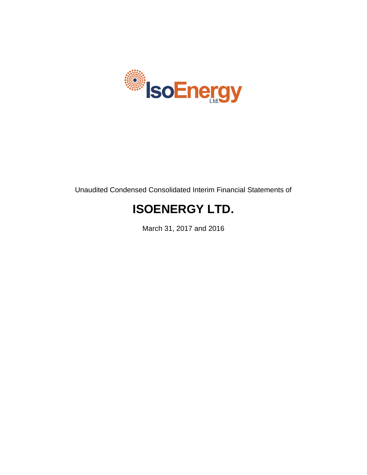

Unaudited Condensed Consolidated Interim Financial Statements of

# **ISOENERGY LTD.**

March 31, 2017 and 2016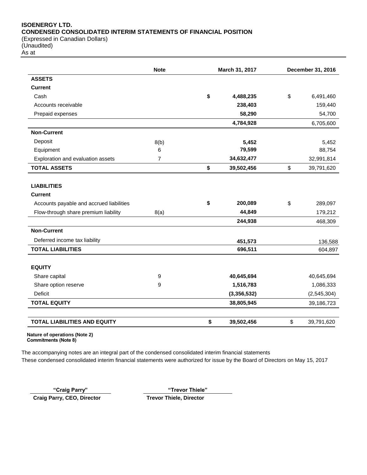# **ISOENERGY LTD. CONDENSED CONSOLIDATED INTERIM STATEMENTS OF FINANCIAL POSITION** (Expressed in Canadian Dollars)

(Unaudited)

As at

|                                          | <b>Note</b> | March 31, 2017 |                         | December 31, 2016 |
|------------------------------------------|-------------|----------------|-------------------------|-------------------|
| <b>ASSETS</b>                            |             |                |                         |                   |
| <b>Current</b>                           |             |                |                         |                   |
| Cash                                     |             | \$             | 4,488,235               | \$<br>6,491,460   |
| Accounts receivable                      |             |                | 238,403                 | 159,440           |
| Prepaid expenses                         |             |                | 58,290                  | 54,700            |
|                                          |             |                | 4,784,928               | 6,705,600         |
| <b>Non-Current</b>                       |             |                |                         |                   |
| Deposit                                  | 8(b)        |                | 5,452                   | 5,452             |
| Equipment                                | 6           |                | 79,599                  | 88,754            |
| Exploration and evaluation assets        | 7           |                | 34,632,477              | 32,991,814        |
| <b>TOTAL ASSETS</b>                      |             | \$             | 39,502,456              | \$<br>39,791,620  |
|                                          |             |                |                         |                   |
| <b>LIABILITIES</b>                       |             |                |                         |                   |
| <b>Current</b>                           |             |                |                         |                   |
| Accounts payable and accrued liabilities |             | \$             | 200,089                 | \$<br>289,097     |
| Flow-through share premium liability     | 8(a)        |                | 44,849                  | 179,212           |
|                                          |             |                | 244,938                 | 468,309           |
| <b>Non-Current</b>                       |             |                |                         |                   |
| Deferred income tax liability            |             |                | 451,573                 | 136,588           |
| <b>TOTAL LIABILITIES</b>                 |             |                | 696,511                 | 604,897           |
| <b>EQUITY</b>                            |             |                |                         |                   |
|                                          |             |                |                         |                   |
| Share capital                            | 9<br>9      |                | 40,645,694<br>1,516,783 | 40,645,694        |
| Share option reserve                     |             |                |                         | 1,086,333         |
| Deficit                                  |             |                | (3,356,532)             | (2,545,304)       |
| <b>TOTAL EQUITY</b>                      |             |                | 38,805,945              | 39,186,723        |
| <b>TOTAL LIABILITIES AND EQUITY</b>      |             | \$             | 39,502,456              | \$<br>39,791,620  |

**Nature of operations (Note 2) Commitments (Note 8)**

The accompanying notes are an integral part of the condensed consolidated interim financial statements These condensed consolidated interim financial statements were authorized for issue by the Board of Directors on May 15, 2017

**"Craig Parry" "Trevor Thiele"**

**Craig Parry, CEO, Director Trevor Thiele, Director**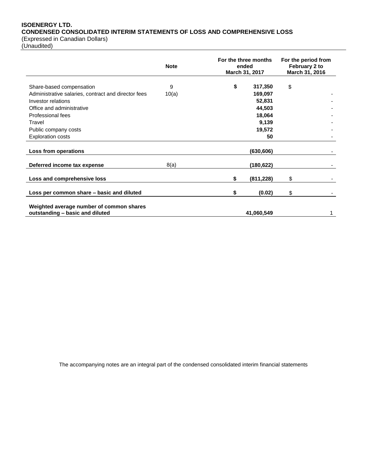# **ISOENERGY LTD. CONDENSED CONSOLIDATED INTERIM STATEMENTS OF LOSS AND COMPREHENSIVE LOSS**

(Expressed in Canadian Dollars)

(Unaudited)

|                                                                                                       | <b>Note</b> | For the three months<br>ended<br>March 31, 2017 | For the period from<br>February 2 to<br>March 31, 2016 |
|-------------------------------------------------------------------------------------------------------|-------------|-------------------------------------------------|--------------------------------------------------------|
| Share-based compensation<br>Administrative salaries, contract and director fees<br>Investor relations | 9<br>10(a)  | \$<br>317,350<br>169,097<br>52,831              | \$                                                     |
| Office and administrative<br>Professional fees<br>Travel                                              |             | 44,503<br>18,064<br>9,139                       |                                                        |
| Public company costs<br><b>Exploration costs</b>                                                      |             | 19,572<br>50                                    |                                                        |
| Loss from operations                                                                                  |             | (630, 606)                                      |                                                        |
| Deferred income tax expense                                                                           | 8(a)        | (180,622)                                       |                                                        |
| Loss and comprehensive loss                                                                           |             | \$<br>(811, 228)                                | \$                                                     |
| Loss per common share - basic and diluted                                                             |             | \$<br>(0.02)                                    | \$                                                     |
| Weighted average number of common shares<br>outstanding - basic and diluted                           |             | 41,060,549                                      |                                                        |

The accompanying notes are an integral part of the condensed consolidated interim financial statements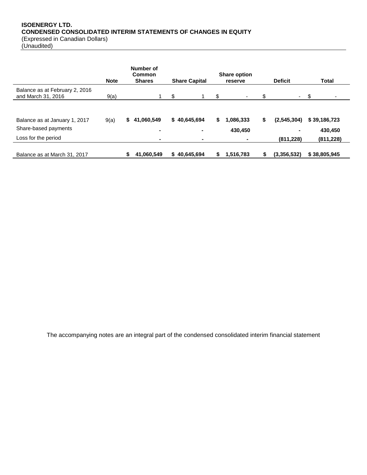# **ISOENERGY LTD. CONDENSED CONSOLIDATED INTERIM STATEMENTS OF CHANGES IN EQUITY** (Expressed in Canadian Dollars)

(Unaudited)

|                                                      | <b>Note</b> | Number of<br><b>Common</b><br><b>Shares</b> | <b>Share Capital</b> |    | <b>Share option</b><br>reserve |    | <b>Deficit</b> | Total        |
|------------------------------------------------------|-------------|---------------------------------------------|----------------------|----|--------------------------------|----|----------------|--------------|
| Balance as at February 2, 2016<br>and March 31, 2016 | 9(a)        |                                             | \$                   | \$ |                                | \$ | $\sim$         | -\$          |
|                                                      |             |                                             |                      |    |                                |    |                |              |
| Balance as at January 1, 2017                        | 9(a)        | 41,060,549<br>S.                            | 40,645,694<br>S      | S  | 1,086,333                      | S  | (2,545,304)    | \$39,186,723 |
| Share-based payments                                 |             | ۰                                           |                      |    | 430,450                        |    | ۰              | 430.450      |
| Loss for the period                                  |             | $\blacksquare$                              | ۰                    |    |                                |    | (811, 228)     | (811, 228)   |
| Balance as at March 31, 2017                         |             | 41,060,549<br>S                             | 40,645,694<br>S      | S  | 1,516,783                      |    | (3,356,532)    | \$38,805,945 |

The accompanying notes are an integral part of the condensed consolidated interim financial statement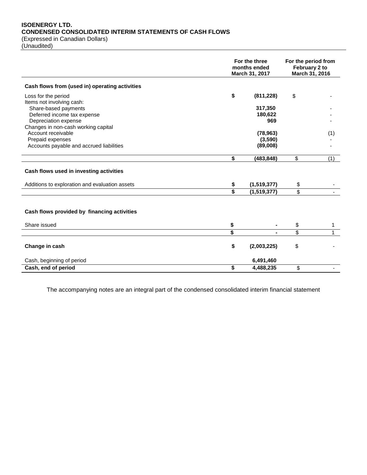# **ISOENERGY LTD. CONDENSED CONSOLIDATED INTERIM STATEMENTS OF CASH FLOWS** (Expressed in Canadian Dollars)

(Unaudited)

|                                                           | For the three<br>months ended<br>March 31, 2017 |             | For the period from<br>February 2 to<br>March 31, 2016 |     |
|-----------------------------------------------------------|-------------------------------------------------|-------------|--------------------------------------------------------|-----|
| Cash flows from (used in) operating activities            |                                                 |             |                                                        |     |
| Loss for the period                                       | \$                                              | (811, 228)  | \$                                                     |     |
| Items not involving cash:                                 |                                                 |             |                                                        |     |
| Share-based payments                                      |                                                 | 317,350     |                                                        |     |
| Deferred income tax expense                               |                                                 | 180,622     |                                                        |     |
| Depreciation expense                                      |                                                 | 969         |                                                        |     |
| Changes in non-cash working capital<br>Account receivable |                                                 | (78, 963)   |                                                        |     |
| Prepaid expenses                                          |                                                 | (3,590)     |                                                        | (1) |
| Accounts payable and accrued liabilities                  |                                                 | (89,008)    |                                                        |     |
|                                                           |                                                 |             |                                                        |     |
|                                                           | \$                                              | (483, 848)  | \$                                                     | (1) |
| Cash flows used in investing activities                   |                                                 |             |                                                        |     |
| Additions to exploration and evaluation assets            | \$                                              | (1,519,377) | \$                                                     |     |
|                                                           | Ś                                               | (1,519,377) | $\overline{\mathbb{S}}$                                |     |
|                                                           |                                                 |             |                                                        |     |
| Cash flows provided by financing activities               |                                                 |             |                                                        |     |
| Share issued                                              | \$                                              |             | \$                                                     | 1   |
|                                                           | \$                                              |             | \$                                                     |     |
|                                                           |                                                 |             |                                                        |     |
| Change in cash                                            | \$                                              | (2,003,225) | \$                                                     |     |
| Cash, beginning of period                                 |                                                 | 6,491,460   |                                                        |     |
| Cash, end of period                                       | \$                                              | 4,488,235   | \$                                                     |     |
|                                                           |                                                 |             |                                                        |     |

The accompanying notes are an integral part of the condensed consolidated interim financial statement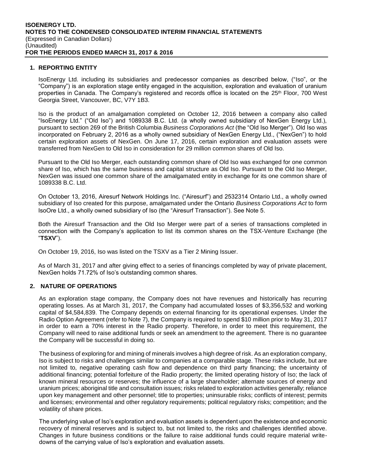# **1. REPORTING ENTITY**

IsoEnergy Ltd. including its subsidiaries and predecessor companies as described below, ("Iso", or the "Company") is an exploration stage entity engaged in the acquisition, exploration and evaluation of uranium properties in Canada. The Company's registered and records office is located on the 25<sup>th</sup> Floor, 700 West Georgia Street, Vancouver, BC, V7Y 1B3.

Iso is the product of an amalgamation completed on October 12, 2016 between a company also called "IsoEnergy Ltd." ("Old Iso") and 1089338 B.C. Ltd. (a wholly owned subsidiary of NexGen Energy Ltd.), pursuant to section 269 of the British Columbia *Business Corporations Act* (the "Old Iso Merger"). Old Iso was incorporated on February 2, 2016 as a wholly owned subsidiary of NexGen Energy Ltd., ("NexGen") to hold certain exploration assets of NexGen. On June 17, 2016, certain exploration and evaluation assets were transferred from NexGen to Old Iso in consideration for 29 million common shares of Old Iso.

Pursuant to the Old Iso Merger, each outstanding common share of Old Iso was exchanged for one common share of Iso, which has the same business and capital structure as Old Iso. Pursuant to the Old Iso Merger, NexGen was issued one common share of the amalgamated entity in exchange for its one common share of 1089338 B.C. Ltd.

On October 13, 2016, Airesurf Network Holdings Inc. ("Airesurf") and 2532314 Ontario Ltd., a wholly owned subsidiary of Iso created for this purpose, amalgamated under the Ontario *Business Corporations Act* to form IsoOre Ltd., a wholly owned subsidiary of Iso (the "Airesurf Transaction"). See Note 5.

Both the Airesurf Transaction and the Old Iso Merger were part of a series of transactions completed in connection with the Company's application to list its common shares on the TSX-Venture Exchange (the "**TSXV**").

On October 19, 2016, Iso was listed on the TSXV as a Tier 2 Mining Issuer.

As of March 31, 2017 and after giving effect to a series of financings completed by way of private placement, NexGen holds 71.72% of Iso's outstanding common shares.

# **2. NATURE OF OPERATIONS**

As an exploration stage company, the Company does not have revenues and historically has recurring operating losses. As at March 31, 2017, the Company had accumulated losses of \$3,356,532 and working capital of \$4,584,839. The Company depends on external financing for its operational expenses. Under the Radio Option Agreement (refer to Note 7), the Company is required to spend \$10 million prior to May 31, 2017 in order to earn a 70% interest in the Radio property. Therefore, in order to meet this requirement, the Company will need to raise additional funds or seek an amendment to the agreement. There is no guarantee the Company will be successful in doing so.

The business of exploring for and mining of minerals involves a high degree of risk. As an exploration company, Iso is subject to risks and challenges similar to companies at a comparable stage. These risks include, but are not limited to, negative operating cash flow and dependence on third party financing; the uncertainty of additional financing; potential forfeiture of the Radio property; the limited operating history of Iso; the lack of known mineral resources or reserves; the influence of a large shareholder; alternate sources of energy and uranium prices; aboriginal title and consultation issues; risks related to exploration activities generally; reliance upon key management and other personnel; title to properties; uninsurable risks; conflicts of interest; permits and licenses; environmental and other regulatory requirements; political regulatory risks; competition; and the volatility of share prices.

The underlying value of Iso's exploration and evaluation assets is dependent upon the existence and economic recovery of mineral reserves and is subject to, but not limited to, the risks and challenges identified above. Changes in future business conditions or the failure to raise additional funds could require material writedowns of the carrying value of Iso's exploration and evaluation assets.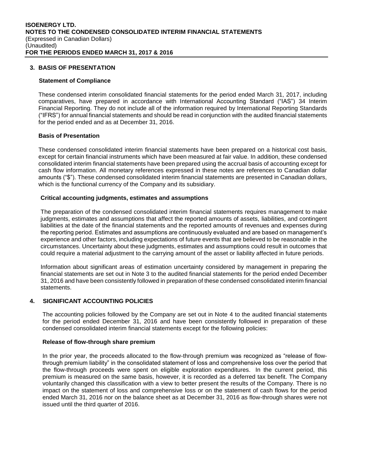# **3. BASIS OF PRESENTATION**

#### **Statement of Compliance**

These condensed interim consolidated financial statements for the period ended March 31, 2017, including comparatives, have prepared in accordance with International Accounting Standard ("IAS") 34 Interim Financial Reporting. They do not include all of the information required by International Reporting Standards ("IFRS") for annual financial statements and should be read in conjunction with the audited financial statements for the period ended and as at December 31, 2016.

#### **Basis of Presentation**

These condensed consolidated interim financial statements have been prepared on a historical cost basis, except for certain financial instruments which have been measured at fair value. In addition, these condensed consolidated interim financial statements have been prepared using the accrual basis of accounting except for cash flow information. All monetary references expressed in these notes are references to Canadian dollar amounts ("\$"). These condensed consolidated interim financial statements are presented in Canadian dollars, which is the functional currency of the Company and its subsidiary.

#### **Critical accounting judgments, estimates and assumptions**

The preparation of the condensed consolidated interim financial statements requires management to make judgments, estimates and assumptions that affect the reported amounts of assets, liabilities, and contingent liabilities at the date of the financial statements and the reported amounts of revenues and expenses during the reporting period. Estimates and assumptions are continuously evaluated and are based on management's experience and other factors, including expectations of future events that are believed to be reasonable in the circumstances. Uncertainty about these judgments, estimates and assumptions could result in outcomes that could require a material adjustment to the carrying amount of the asset or liability affected in future periods.

Information about significant areas of estimation uncertainty considered by management in preparing the financial statements are set out in Note 3 to the audited financial statements for the period ended December 31, 2016 and have been consistently followed in preparation of these condensed consolidated interim financial statements.

# **4. SIGNIFICANT ACCOUNTING POLICIES**

The accounting policies followed by the Company are set out in Note 4 to the audited financial statements for the period ended December 31, 2016 and have been consistently followed in preparation of these condensed consolidated interim financial statements except for the following policies:

#### **Release of flow-through share premium**

In the prior year, the proceeds allocated to the flow-through premium was recognized as "release of flowthrough premium liability" in the consolidated statement of loss and comprehensive loss over the period that the flow-through proceeds were spent on eligible exploration expenditures. In the current period, this premium is measured on the same basis, however, it is recorded as a deferred tax benefit. The Company voluntarily changed this classification with a view to better present the results of the Company. There is no impact on the statement of loss and comprehensive loss or on the statement of cash flows for the period ended March 31, 2016 nor on the balance sheet as at December 31, 2016 as flow-through shares were not issued until the third quarter of 2016.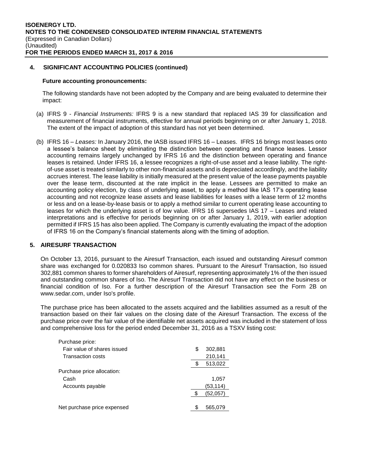# **4. SIGNIFICANT ACCOUNTING POLICIES (continued)**

#### **Future accounting pronouncements:**

The following standards have not been adopted by the Company and are being evaluated to determine their impact:

- (a) IFRS 9 *Financial Instruments:* IFRS 9 is a new standard that replaced IAS 39 for classification and measurement of financial instruments, effective for annual periods beginning on or after January 1, 2018. The extent of the impact of adoption of this standard has not yet been determined.
- (b) IFRS 16 *Leases:* In January 2016, the IASB issued IFRS 16 Leases. IFRS 16 brings most leases onto a lessee's balance sheet by eliminating the distinction between operating and finance leases. Lessor accounting remains largely unchanged by IFRS 16 and the distinction between operating and finance leases is retained. Under IFRS 16, a lessee recognizes a right-of-use asset and a lease liability. The rightof-use asset is treated similarly to other non-financial assets and is depreciated accordingly, and the liability accrues interest. The lease liability is initially measured at the present value of the lease payments payable over the lease term, discounted at the rate implicit in the lease. Lessees are permitted to make an accounting policy election, by class of underlying asset, to apply a method like IAS 17's operating lease accounting and not recognize lease assets and lease liabilities for leases with a lease term of 12 months or less and on a lease-by-lease basis or to apply a method similar to current operating lease accounting to leases for which the underlying asset is of low value. IFRS 16 supersedes IAS 17 – Leases and related interpretations and is effective for periods beginning on or after January 1, 2019, with earlier adoption permitted if IFRS 15 has also been applied. The Company is currently evaluating the impact of the adoption of IFRS 16 on the Company's financial statements along with the timing of adoption.

# **5. AIRESURF TRANSACTION**

On October 13, 2016, pursuant to the Airesurf Transaction, each issued and outstanding Airesurf common share was exchanged for 0.020833 Iso common shares. Pursuant to the Airesurf Transaction, Iso issued 302,881 common shares to former shareholders of Airesurf, representing approximately 1% of the then issued and outstanding common shares of Iso. The Airesurf Transaction did not have any effect on the business or financial condition of Iso. For a further description of the Airesurf Transaction see the Form 2B on www.sedar.com, under Iso's profile.

The purchase price has been allocated to the assets acquired and the liabilities assumed as a result of the transaction based on their fair values on the closing date of the Airesurf Transaction. The excess of the purchase price over the fair value of the identifiable net assets acquired was included in the statement of loss and comprehensive loss for the period ended December 31, 2016 as a TSXV listing cost:

| Purchase price:             |               |
|-----------------------------|---------------|
| Fair value of shares issued | \$<br>302,881 |
| <b>Transaction costs</b>    | 210,141       |
|                             | 513,022       |
| Purchase price allocation:  |               |
| Cash                        | 1,057         |
| Accounts payable            | (53,114)      |
|                             | (52,057)      |
|                             |               |
| Net purchase price expensed | \$<br>565.079 |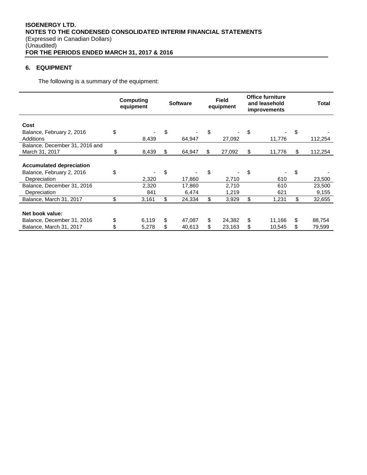# **6. EQUIPMENT**

The following is a summary of the equipment:

|                                                  | Computing<br><b>Software</b><br>equipment |              | <b>Field</b><br>equipment |     | <b>Office furniture</b><br>and leasehold<br><b>improvements</b> |    | <b>Total</b> |                 |
|--------------------------------------------------|-------------------------------------------|--------------|---------------------------|-----|-----------------------------------------------------------------|----|--------------|-----------------|
| Cost                                             |                                           |              |                           |     |                                                                 |    |              |                 |
| Balance, February 2, 2016<br>Additions           | \$                                        | 8,439        | \$<br>64,947              | \$  | 27,092                                                          | \$ | 11,776       | \$<br>112,254   |
| Balance, December 31, 2016 and<br>March 31, 2017 | \$                                        | 8,439        | \$<br>64,947              | \$. | 27,092                                                          | S  | 11,776       | \$<br>112,254   |
| <b>Accumulated depreciation</b>                  |                                           |              |                           |     |                                                                 |    |              |                 |
| Balance, February 2, 2016<br>Depreciation        | \$                                        | 2,320        | \$<br>17.860              | \$  | 2,710                                                           | \$ | 610          | \$<br>23,500    |
| Balance, December 31, 2016<br>Depreciation       |                                           | 2,320<br>841 | 17,860<br>6,474           |     | 2,710<br>1,219                                                  |    | 610<br>621   | 23,500<br>9,155 |
| Balance, March 31, 2017                          | \$                                        | 3,161        | \$<br>24,334              | \$  | 3,929                                                           | \$ | 1,231        | \$<br>32,655    |
| Net book value:                                  |                                           |              |                           |     |                                                                 |    |              |                 |
| Balance, December 31, 2016                       | \$                                        | 6,119        | \$<br>47,087              | \$  | 24,382                                                          | \$ | 11,166       | \$<br>88,754    |
| Balance, March 31, 2017                          | \$                                        | 5,278        | \$<br>40,613              | S   | 23,163                                                          | \$ | 10,545       | \$<br>79.599    |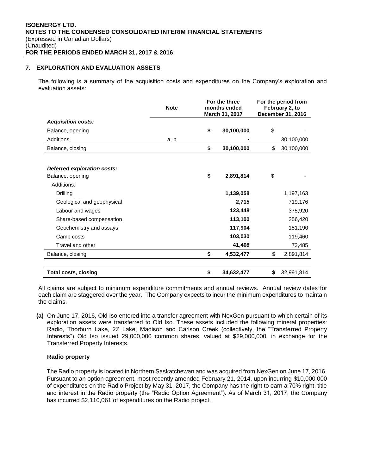# **7. EXPLORATION AND EVALUATION ASSETS**

The following is a summary of the acquisition costs and expenditures on the Company's exploration and evaluation assets:

|                                                 | <b>Note</b> | For the three<br>months ended<br>March 31, 2017 |            | For the period from<br>February 2, to<br>December 31, 2016 |            |  |
|-------------------------------------------------|-------------|-------------------------------------------------|------------|------------------------------------------------------------|------------|--|
| <b>Acquisition costs:</b>                       |             |                                                 |            |                                                            |            |  |
| Balance, opening                                |             | \$                                              | 30,100,000 | \$                                                         |            |  |
| Additions                                       | a, b        |                                                 |            |                                                            | 30,100,000 |  |
| Balance, closing                                |             | \$                                              | 30,100,000 | \$                                                         | 30,100,000 |  |
| Deferred exploration costs:<br>Balance, opening |             | \$                                              | 2,891,814  | \$                                                         |            |  |
| Additions:                                      |             |                                                 |            |                                                            |            |  |
| Drilling                                        |             |                                                 | 1,139,058  |                                                            | 1,197,163  |  |
| Geological and geophysical                      |             |                                                 | 2,715      |                                                            | 719,176    |  |
| Labour and wages                                |             |                                                 | 123,448    |                                                            | 375,920    |  |
| Share-based compensation                        |             |                                                 | 113,100    |                                                            | 256,420    |  |
| Geochemistry and assays                         |             |                                                 | 117,904    |                                                            | 151,190    |  |
| Camp costs                                      |             |                                                 | 103,030    |                                                            | 119,460    |  |
| Travel and other                                |             |                                                 | 41,408     |                                                            | 72,485     |  |
| Balance, closing                                |             | \$                                              | 4,532,477  | \$                                                         | 2,891,814  |  |
| <b>Total costs, closing</b>                     |             | \$                                              | 34,632,477 | \$                                                         | 32,991,814 |  |

All claims are subject to minimum expenditure commitments and annual reviews. Annual review dates for each claim are staggered over the year. The Company expects to incur the minimum expenditures to maintain the claims.

**(a)** On June 17, 2016, Old Iso entered into a transfer agreement with NexGen pursuant to which certain of its exploration assets were transferred to Old Iso. These assets included the following mineral properties: Radio, Thorburn Lake, 2Z Lake, Madison and Carlson Creek (collectively, the "Transferred Property Interests"). Old Iso issued 29,000,000 common shares, valued at \$29,000,000, in exchange for the Transferred Property Interests.

# **Radio property**

The Radio property is located in Northern Saskatchewan and was acquired from NexGen on June 17, 2016. Pursuant to an option agreement, most recently amended February 21, 2014, upon incurring \$10,000,000 of expenditures on the Radio Project by May 31, 2017, the Company has the right to earn a 70% right, title and interest in the Radio property (the "Radio Option Agreement"). As of March 31, 2017, the Company has incurred \$2,110,061 of expenditures on the Radio project.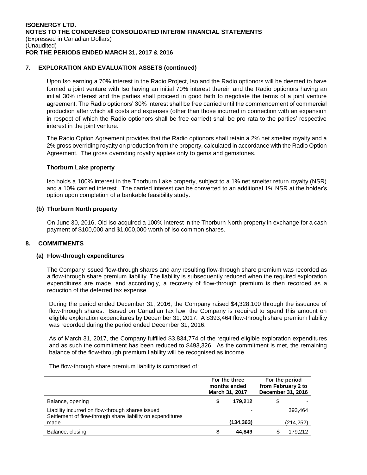# **7. EXPLORATION AND EVALUATION ASSETS (continued)**

Upon Iso earning a 70% interest in the Radio Project, Iso and the Radio optionors will be deemed to have formed a joint venture with Iso having an initial 70% interest therein and the Radio optionors having an initial 30% interest and the parties shall proceed in good faith to negotiate the terms of a joint venture agreement. The Radio optionors' 30% interest shall be free carried until the commencement of commercial production after which all costs and expenses (other than those incurred in connection with an expansion in respect of which the Radio optionors shall be free carried) shall be pro rata to the parties' respective interest in the joint venture.

The Radio Option Agreement provides that the Radio optionors shall retain a 2% net smelter royalty and a 2% gross overriding royalty on production from the property, calculated in accordance with the Radio Option Agreement. The gross overriding royalty applies only to gems and gemstones.

#### **Thorburn Lake property**

Iso holds a 100% interest in the Thorburn Lake property, subject to a 1% net smelter return royalty (NSR) and a 10% carried interest. The carried interest can be converted to an additional 1% NSR at the holder's option upon completion of a bankable feasibility study.

#### **(b) Thorburn North property**

On June 30, 2016, Old Iso acquired a 100% interest in the Thorburn North property in exchange for a cash payment of \$100,000 and \$1,000,000 worth of Iso common shares.

# **8. COMMITMENTS**

#### **(a) Flow-through expenditures**

The Company issued flow-through shares and any resulting flow-through share premium was recorded as a flow-through share premium liability. The liability is subsequently reduced when the required exploration expenditures are made, and accordingly, a recovery of flow-through premium is then recorded as a reduction of the deferred tax expense.

During the period ended December 31, 2016, the Company raised \$4,328,100 through the issuance of flow-through shares. Based on Canadian tax law, the Company is required to spend this amount on eligible exploration expenditures by December 31, 2017. A \$393,464 flow-through share premium liability was recorded during the period ended December 31, 2016.

As of March 31, 2017, the Company fulfilled \$3,834,774 of the required eligible exploration expenditures and as such the commitment has been reduced to \$493,326. As the commitment is met, the remaining balance of the flow-through premium liability will be recognised as income.

The flow-through share premium liability is comprised of:

|                                                                                                                |    | For the three<br>months ended<br>March 31, 2017 | For the period<br>from February 2 to<br>December 31, 2016 |
|----------------------------------------------------------------------------------------------------------------|----|-------------------------------------------------|-----------------------------------------------------------|
| Balance, opening                                                                                               | \$ | 179.212                                         | \$                                                        |
| Liability incurred on flow-through shares issued<br>Settlement of flow-through share liability on expenditures |    |                                                 | 393.464                                                   |
| made                                                                                                           |    | (134, 363)                                      | (214, 252)                                                |
| Balance, closing                                                                                               | S  | 44.849                                          | 179.212                                                   |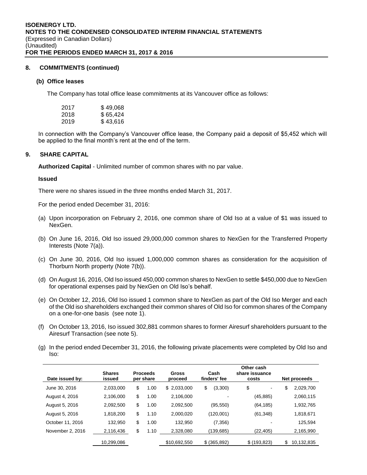# **8. COMMITMENTS (continued)**

# **(b) Office leases**

The Company has total office lease commitments at its Vancouver office as follows:

| 2017 | \$49,068 |
|------|----------|
| 2018 | \$65,424 |
| 2019 | \$43,616 |

In connection with the Company's Vancouver office lease, the Company paid a deposit of \$5,452 which will be applied to the final month's rent at the end of the term.

# **9. SHARE CAPITAL**

**Authorized Capital** - Unlimited number of common shares with no par value.

# **Issued**

There were no shares issued in the three months ended March 31, 2017.

For the period ended December 31, 2016:

- (a) Upon incorporation on February 2, 2016, one common share of Old Iso at a value of \$1 was issued to NexGen.
- (b) On June 16, 2016, Old Iso issued 29,000,000 common shares to NexGen for the Transferred Property Interests (Note 7(a)).
- (c) On June 30, 2016, Old Iso issued 1,000,000 common shares as consideration for the acquisition of Thorburn North property (Note 7(b)).
- (d) On August 16, 2016, Old Iso issued 450,000 common shares to NexGen to settle \$450,000 due to NexGen for operational expenses paid by NexGen on Old Iso's behalf.
- (e) On October 12, 2016, Old Iso issued 1 common share to NexGen as part of the Old Iso Merger and each of the Old iso shareholders exchanged their common shares of Old Iso for common shares of the Company on a one-for-one basis (see note 1).
- (f) On October 13, 2016, Iso issued 302,881 common shares to former Airesurf shareholders pursuant to the Airesurf Transaction (see note 5).
- (g) In the period ended December 31, 2016, the following private placements were completed by Old Iso and Iso:

| Date issued by:  | <b>Shares</b><br>issued | <b>Proceeds</b><br>per share | Gross<br>proceed | Cash<br>finders' fee | Other cash<br>share issuance<br>costs |    | Net proceeds |
|------------------|-------------------------|------------------------------|------------------|----------------------|---------------------------------------|----|--------------|
| June 30, 2016    | 2.033.000               | \$<br>1.00                   | \$2,033,000      | \$<br>(3,300)        | \$<br>٠                               | \$ | 2,029,700    |
| August 4, 2016   | 2.106.000               | \$<br>1.00                   | 2.106.000        |                      | (45, 885)                             |    | 2,060,115    |
| August 5, 2016   | 2,092,500               | \$<br>1.00                   | 2,092,500        | (95, 550)            | (64, 185)                             |    | 1,932,765    |
| August 5, 2016   | 1,818,200               | \$<br>1.10                   | 2,000,020        | (120,001)            | (61, 348)                             |    | 1,818,671    |
| October 11, 2016 | 132.950                 | \$<br>1.00                   | 132.950          | (7, 356)             |                                       |    | 125.594      |
| November 2, 2016 | 2,116,436               | \$<br>1.10                   | 2,328,080        | (139, 685)           | (22, 405)                             |    | 2,165,990    |
|                  | 10.299.086              |                              | \$10,692,550     | \$ (365,892)         | \$ (193, 823)                         | S  | 10,132,835   |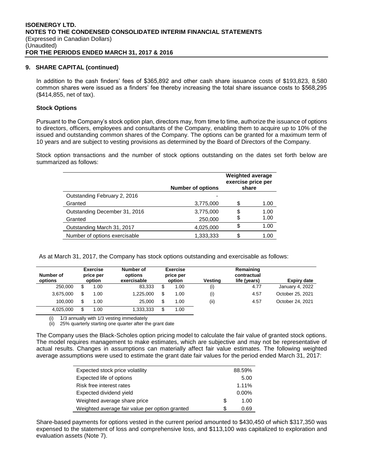# **9. SHARE CAPITAL (continued)**

In addition to the cash finders' fees of \$365,892 and other cash share issuance costs of \$193,823, 8,580 common shares were issued as a finders' fee thereby increasing the total share issuance costs to \$568,295 (\$414,855, net of tax).

# **Stock Options**

Pursuant to the Company's stock option plan, directors may, from time to time, authorize the issuance of options to directors, officers, employees and consultants of the Company, enabling them to acquire up to 10% of the issued and outstanding common shares of the Company. The options can be granted for a maximum term of 10 years and are subject to vesting provisions as determined by the Board of Directors of the Company.

Stock option transactions and the number of stock options outstanding on the dates set forth below are summarized as follows:

|                               | <b>Number of options</b> | <b>Weighted average</b><br>exercise price per<br>share |      |  |
|-------------------------------|--------------------------|--------------------------------------------------------|------|--|
| Outstanding February 2, 2016  |                          |                                                        |      |  |
| Granted                       | 3,775,000                |                                                        | 1.00 |  |
| Outstanding December 31, 2016 | 3,775,000                | S                                                      | 1.00 |  |
| Granted                       | 250,000                  | \$                                                     | 1.00 |  |
| Outstanding March 31, 2017    | 4,025,000                | \$                                                     | 1.00 |  |
| Number of options exercisable | 1,333,333                |                                                        | 1.00 |  |

As at March 31, 2017, the Company has stock options outstanding and exercisable as follows:

| Number of<br>options |    | <b>Exercise</b><br>price per<br>option | Number of<br>options<br>exercisable |    | <b>Exercise</b><br>price per<br>option | Vestina | Remaining<br>contractual<br>life (years) | Expiry date      |
|----------------------|----|----------------------------------------|-------------------------------------|----|----------------------------------------|---------|------------------------------------------|------------------|
| 250,000              | S  | 1.00                                   | 83,333                              | S  | 1.00                                   | (i)     | 4.77                                     | January 4, 2022  |
| 3.675.000            | \$ | 1.00                                   | 1.225.000                           | \$ | 1.00                                   | (i)     | 4.57                                     | October 25, 2021 |
| 100.000              | \$ | 1.00                                   | 25.000                              | \$ | 1.00                                   | (ii)    | 4.57                                     | October 24, 2021 |
| 4,025,000            | S  | 1.00                                   | 1,333,333                           | S  | 1.00                                   |         |                                          |                  |

1/3 annually with 1/3 vesting immediately

(ii) 25% quarterly starting one quarter after the grant date

The Company uses the Black-Scholes option pricing model to calculate the fair value of granted stock options. The model requires management to make estimates, which are subjective and may not be representative of actual results. Changes in assumptions can materially affect fair value estimates. The following weighted average assumptions were used to estimate the grant date fair values for the period ended March 31, 2017:

| Expected stock price volatility                |   | 88.59%   |
|------------------------------------------------|---|----------|
| Expected life of options                       |   | 5.00     |
| Risk free interest rates                       |   | 1.11%    |
| Expected dividend yield                        |   | $0.00\%$ |
| Weighted average share price                   | S | 1.00     |
| Weighted average fair value per option granted | S | 0.69     |

Share-based payments for options vested in the current period amounted to \$430,450 of which \$317,350 was expensed to the statement of loss and comprehensive loss, and \$113,100 was capitalized to exploration and evaluation assets (Note 7).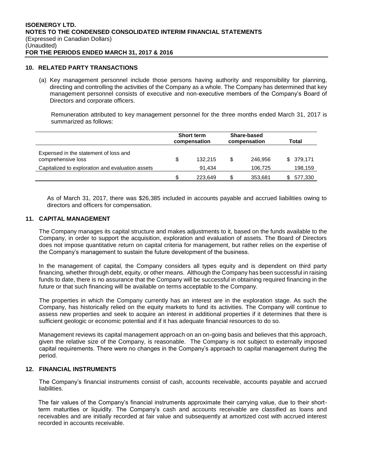#### **10. RELATED PARTY TRANSACTIONS**

(a) Key management personnel include those persons having authority and responsibility for planning, directing and controlling the activities of the Company as a whole. The Company has determined that key management personnel consists of executive and non-executive members of the Company's Board of Directors and corporate officers.

Remuneration attributed to key management personnel for the three months ended March 31, 2017 is summarized as follows:

|                                                             | <b>Short term</b><br>compensation |         | Share-based<br>compensation |         | Total |            |
|-------------------------------------------------------------|-----------------------------------|---------|-----------------------------|---------|-------|------------|
| Expensed in the statement of loss and<br>comprehensive loss | \$                                | 132.215 | \$                          | 246.956 |       | \$ 379,171 |
| Capitalized to exploration and evaluation assets            |                                   | 91.434  |                             | 106,725 |       | 198,159    |
|                                                             |                                   | 223.649 | \$                          | 353.681 |       | 577,330    |

As of March 31, 2017, there was \$26,385 included in accounts payable and accrued liabilities owing to directors and officers for compensation.

#### **11. CAPITAL MANAGEMENT**

The Company manages its capital structure and makes adjustments to it, based on the funds available to the Company, in order to support the acquisition, exploration and evaluation of assets. The Board of Directors does not impose quantitative return on capital criteria for management, but rather relies on the expertise of the Company's management to sustain the future development of the business.

 In the management of capital, the Company considers all types equity and is dependent on third party financing, whether through debt, equity, or other means. Although the Company has been successful in raising funds to date, there is no assurance that the Company will be successful in obtaining required financing in the future or that such financing will be available on terms acceptable to the Company.

The properties in which the Company currently has an interest are in the exploration stage. As such the Company, has historically relied on the equity markets to fund its activities. The Company will continue to assess new properties and seek to acquire an interest in additional properties if it determines that there is sufficient geologic or economic potential and if it has adequate financial resources to do so.

Management reviews its capital management approach on an on-going basis and believes that this approach, given the relative size of the Company, is reasonable. The Company is not subject to externally imposed capital requirements. There were no changes in the Company's approach to capital management during the period.

# **12. FINANCIAL INSTRUMENTS**

The Company's financial instruments consist of cash, accounts receivable, accounts payable and accrued liabilities.

The fair values of the Company's financial instruments approximate their carrying value, due to their shortterm maturities or liquidity. The Company's cash and accounts receivable are classified as loans and receivables and are initially recorded at fair value and subsequently at amortized cost with accrued interest recorded in accounts receivable.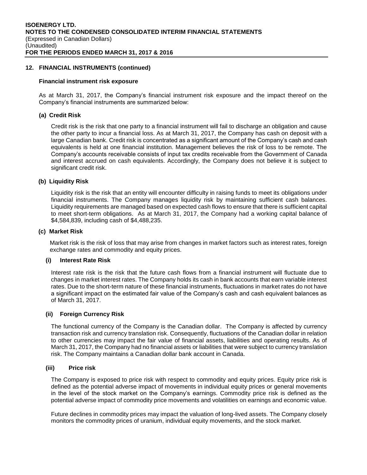# **12. FINANCIAL INSTRUMENTS (continued)**

# **Financial instrument risk exposure**

As at March 31, 2017, the Company's financial instrument risk exposure and the impact thereof on the Company's financial instruments are summarized below:

#### **(a) Credit Risk**

Credit risk is the risk that one party to a financial instrument will fail to discharge an obligation and cause the other party to incur a financial loss. As at March 31, 2017, the Company has cash on deposit with a large Canadian bank. Credit risk is concentrated as a significant amount of the Company's cash and cash equivalents is held at one financial institution. Management believes the risk of loss to be remote. The Company's accounts receivable consists of input tax credits receivable from the Government of Canada and interest accrued on cash equivalents. Accordingly, the Company does not believe it is subject to significant credit risk.

#### **(b) Liquidity Risk**

Liquidity risk is the risk that an entity will encounter difficulty in raising funds to meet its obligations under financial instruments. The Company manages liquidity risk by maintaining sufficient cash balances. Liquidity requirements are managed based on expected cash flows to ensure that there is sufficient capital to meet short-term obligations. As at March 31, 2017, the Company had a working capital balance of \$4,584,839, including cash of \$4,488,235.

#### **(c) Market Risk**

Market risk is the risk of loss that may arise from changes in market factors such as interest rates, foreign exchange rates and commodity and equity prices.

#### **(i) Interest Rate Risk**

Interest rate risk is the risk that the future cash flows from a financial instrument will fluctuate due to changes in market interest rates. The Company holds its cash in bank accounts that earn variable interest rates. Due to the short-term nature of these financial instruments, fluctuations in market rates do not have a significant impact on the estimated fair value of the Company's cash and cash equivalent balances as of March 31, 2017.

#### **(ii) Foreign Currency Risk**

The functional currency of the Company is the Canadian dollar. The Company is affected by currency transaction risk and currency translation risk. Consequently, fluctuations of the Canadian dollar in relation to other currencies may impact the fair value of financial assets, liabilities and operating results. As of March 31, 2017, the Company had no financial assets or liabilities that were subject to currency translation risk. The Company maintains a Canadian dollar bank account in Canada.

# **(iii) Price risk**

The Company is exposed to price risk with respect to commodity and equity prices. Equity price risk is defined as the potential adverse impact of movements in individual equity prices or general movements in the level of the stock market on the Company's earnings. Commodity price risk is defined as the potential adverse impact of commodity price movements and volatilities on earnings and economic value.

Future declines in commodity prices may impact the valuation of long-lived assets. The Company closely monitors the commodity prices of uranium, individual equity movements, and the stock market.